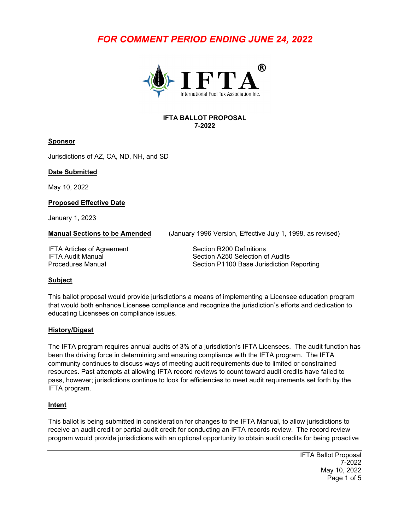# *FOR COMMENT PERIOD ENDING JUNE 24, 2022*



#### **IFTA BALLOT PROPOSAL 7-2022**

#### **Sponsor**

Jurisdictions of AZ, CA, ND, NH, and SD

#### **Date Submitted**

May 10, 2022

#### **Proposed Effective Date**

January 1, 2023

**Manual Sections to be Amended** (January 1996 Version, Effective July 1, 1998, as revised)

IFTA Articles of Agreement Section R200 Definitions

IFTA Audit Manual **IFTA Audit Manual**<br>Procedures Manual **Section P1100 Base Jurisdiction** Section P1100 Base Jurisdiction Reporting

### **Subject**

This ballot proposal would provide jurisdictions a means of implementing a Licensee education program that would both enhance Licensee compliance and recognize the jurisdiction's efforts and dedication to educating Licensees on compliance issues.

### **History/Digest**

The IFTA program requires annual audits of 3% of a jurisdiction's IFTA Licensees. The audit function has been the driving force in determining and ensuring compliance with the IFTA program. The IFTA community continues to discuss ways of meeting audit requirements due to limited or constrained resources. Past attempts at allowing IFTA record reviews to count toward audit credits have failed to pass, however; jurisdictions continue to look for efficiencies to meet audit requirements set forth by the IFTA program.

### **Intent**

This ballot is being submitted in consideration for changes to the IFTA Manual, to allow jurisdictions to receive an audit credit or partial audit credit for conducting an IFTA records review. The record review program would provide jurisdictions with an optional opportunity to obtain audit credits for being proactive

> IFTA Ballot Proposal 7-2022 May 10, 2022 Page 1 of 5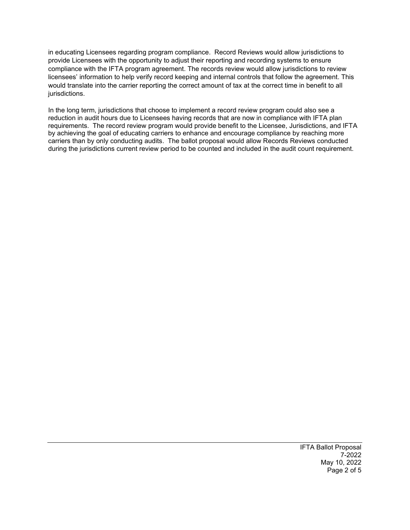in educating Licensees regarding program compliance. Record Reviews would allow jurisdictions to provide Licensees with the opportunity to adjust their reporting and recording systems to ensure compliance with the IFTA program agreement. The records review would allow jurisdictions to review licensees' information to help verify record keeping and internal controls that follow the agreement. This would translate into the carrier reporting the correct amount of tax at the correct time in benefit to all jurisdictions.

In the long term, jurisdictions that choose to implement a record review program could also see a reduction in audit hours due to Licensees having records that are now in compliance with IFTA plan requirements. The record review program would provide benefit to the Licensee, Jurisdictions, and IFTA by achieving the goal of educating carriers to enhance and encourage compliance by reaching more carriers than by only conducting audits. The ballot proposal would allow Records Reviews conducted during the jurisdictions current review period to be counted and included in the audit count requirement.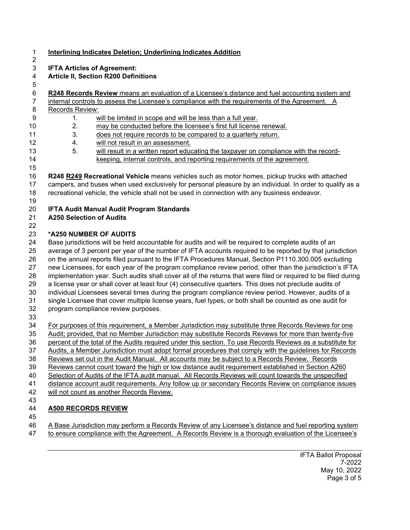#### **Interlining Indicates Deletion; Underlining Indicates Addition**

**IFTA Articles of Agreement:**

#### **Article II, Section R200 Definitions**

**R248 Records Review** means an evaluation of a Licensee's distance and fuel accounting system and

 internal controls to assess the Licensee's compliance with the requirements of the Agreement. A Records Review:

- 1. will be limited in scope and will be less than a full year.
- 2. may be conducted before the licensee's first full license renewal.
- 3. does not require records to be compared to a quarterly return.
- 4. will not result in an assessment.
- 13 5. will result in a written report educating the taxpayer on compliance with the record-keeping, internal controls, and reporting requirements of the agreement.

 **R248 R249 Recreational Vehicle** means vehicles such as motor homes, pickup trucks with attached campers, and buses when used exclusively for personal pleasure by an individual. In order to qualify as a recreational vehicle, the vehicle shall not be used in connection with any business endeavor.

- **IFTA Audit Manual Audit Program Standards**
- **A250 Selection of Audits**
- 

## **\*A250 NUMBER OF AUDITS**

24 Base jurisdictions will be held accountable for audits and will be required to complete audits of an<br>25 average of 3 percent per year of the number of IFTA accounts required to be reported by that juris average of 3 percent per year of the number of IFTA accounts required to be reported by that jurisdiction on the annual reports filed pursuant to the IFTA Procedures Manual, Section P1110.300.005 excluding new Licensees, for each year of the program compliance review period, other than the jurisdiction's IFTA implementation year. Such audits shall cover all of the returns that were filed or required to be filed during a license year or shall cover at least four (4) consecutive quarters. This does not preclude audits of individual Licensees several times during the program compliance review period. However, audits of a single Licensee that cover multiple license years, fuel types, or both shall be counted as one audit for program compliance review purposes. For purposes of this requirement, a Member Jurisdiction may substitute three Records Reviews for one

Audit; provided, that no Member Jurisdiction may substitute Records Reviews for more than twenty-five

- percent of the total of the Audits required under this section. To use Records Reviews as a substitute for
- Audits, a Member Jurisdiction must adopt formal procedures that comply with the guidelines for Records
- Reviews set out in the Audit Manual. All accounts may be subject to a Records Review. Records
- Reviews cannot count toward the high or low distance audit requirement established in Section A260
- 40 Selection of Audits of the IFTA audit manual. All Records Reviews will count towards the unspecified
- distance account audit requirements. Any follow up or secondary Records Review on compliance issues
- will not count as another Records Review.
- 

# **A500 RECORDS REVIEW**

 A Base Jurisdiction may perform a Records Review of any Licensee's distance and fuel reporting system to ensure compliance with the Agreement. A Records Review is a thorough evaluation of the Licensee's

> IFTA Ballot Proposal 7-2022 May 10, 2022 Page 3 of 5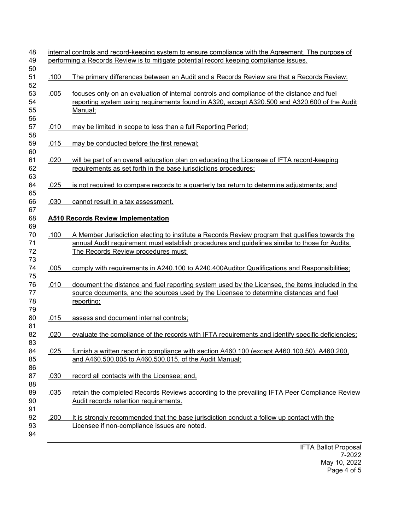|                                      | performing a Records Review is to mitigate potential record keeping compliance issues.                                                                                                                                                                                                                                                                                                                                                                                                                    |
|--------------------------------------|-----------------------------------------------------------------------------------------------------------------------------------------------------------------------------------------------------------------------------------------------------------------------------------------------------------------------------------------------------------------------------------------------------------------------------------------------------------------------------------------------------------|
| .100                                 | The primary differences between an Audit and a Records Review are that a Records Review:                                                                                                                                                                                                                                                                                                                                                                                                                  |
| .005                                 | focuses only on an evaluation of internal controls and compliance of the distance and fuel<br>reporting system using requirements found in A320, except A320.500 and A320.600 of the Audit<br>Manual;                                                                                                                                                                                                                                                                                                     |
| .010                                 | may be limited in scope to less than a full Reporting Period;                                                                                                                                                                                                                                                                                                                                                                                                                                             |
| .015                                 | may be conducted before the first renewal;                                                                                                                                                                                                                                                                                                                                                                                                                                                                |
| .020                                 | will be part of an overall education plan on educating the Licensee of IFTA record-keeping<br>requirements as set forth in the base jurisdictions procedures;                                                                                                                                                                                                                                                                                                                                             |
| .025                                 | is not required to compare records to a quarterly tax return to determine adjustments; and                                                                                                                                                                                                                                                                                                                                                                                                                |
| .030                                 | cannot result in a tax assessment.                                                                                                                                                                                                                                                                                                                                                                                                                                                                        |
|                                      |                                                                                                                                                                                                                                                                                                                                                                                                                                                                                                           |
|                                      | <b>A510 Records Review Implementation</b>                                                                                                                                                                                                                                                                                                                                                                                                                                                                 |
| .100                                 | The Records Review procedures must:                                                                                                                                                                                                                                                                                                                                                                                                                                                                       |
|                                      |                                                                                                                                                                                                                                                                                                                                                                                                                                                                                                           |
|                                      | source documents, and the sources used by the Licensee to determine distances and fuel<br>reporting;                                                                                                                                                                                                                                                                                                                                                                                                      |
|                                      | assess and document internal controls;                                                                                                                                                                                                                                                                                                                                                                                                                                                                    |
|                                      | A Member Jurisdiction electing to institute a Records Review program that qualifies towards the<br>annual Audit requirement must establish procedures and guidelines similar to those for Audits.<br>comply with requirements in A240.100 to A240.400Auditor Qualifications and Responsibilities;<br>document the distance and fuel reporting system used by the Licensee, the items included in the<br>evaluate the compliance of the records with IFTA requirements and identify specific deficiencies; |
| .005<br>.010<br>.015<br>.020<br>.025 | furnish a written report in compliance with section A460.100 (except A460.100.50), A460.200,<br>and A460.500.005 to A460.500.015, of the Audit Manual;                                                                                                                                                                                                                                                                                                                                                    |
| .030                                 | record all contacts with the Licensee; and,                                                                                                                                                                                                                                                                                                                                                                                                                                                               |
| .035                                 | retain the completed Records Reviews according to the prevailing IFTA Peer Compliance Review<br>Audit records retention requirements.                                                                                                                                                                                                                                                                                                                                                                     |

IFTA Ballot Proposal 7-2022 May 10, 2022 Page 4 of 5